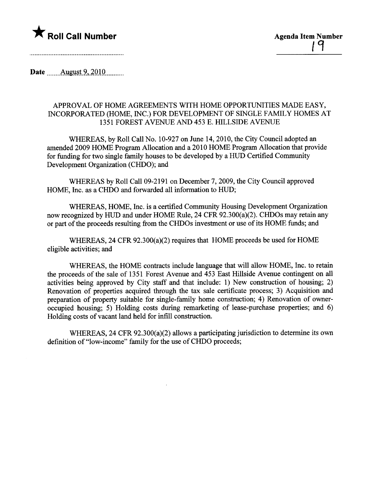

Date  $\qquad$  August 9, 2010

## APPROVAL OF HOME AGREEMENTS WITH HOME OPPORTUNITIES MADE EASY, INCORPORATED (HOME, INC.) FOR DEVELOPMENT OF SINGLE FAMILY HOMES AT 1351 FOREST AVENUE AND 453 E. HILLSIDE AVENUE

WHEREAS, by Roll Call No. 10-927 on June 14,2010, the City Council adopted an amended 2009 HOME Program Allocation and a 2010 HOME Program Allocation that provide for fuding for two single family houses to be developed by a HUD Certified Community Development Organization (CHDO); and

WHEREAS by Roll Call 09-2191 on December 7,2009, the City Council approved HOME, Inc. as a CHDO and forwarded all information to HUD;

WHEREAS, HOME, Inc. is a certified Communty Housing Development Organization now recognized by HUD and under HOME Rule, 24 CFR 92.300(a)(2). CHDOs may retain any or part of the proceeds resulting from the CHDOs investment or use of its HOME funds; and

WHEREAS, 24 CFR 92.300(a)(2) requires that HOME proceeds be used for HOME eligible activities; and

WHEREAS, the HOME contracts include language that will allow HOME, Inc. to retain the proceeds of the sale of 1351 Forest Avenue and 453 East Hilside Avenue contingent on all activities being approved by City staff and that include: 1) New construction of housing; 2) Renovation of properties acquired though the tax sale certificate process; 3) Acquisition and preparation of property suitable for single-family home construction; 4) Renovation of owneroccupied housing; 5) Holding costs during remarketing of lease-purchase properties; and 6) Holding costs of vacant land held for infll construction.

WHEREAS, 24 CFR 92.300(a)(2) allows a paricipating jursdiction to determine its own definition of "low-income" family for the use of CHDO proceeds;